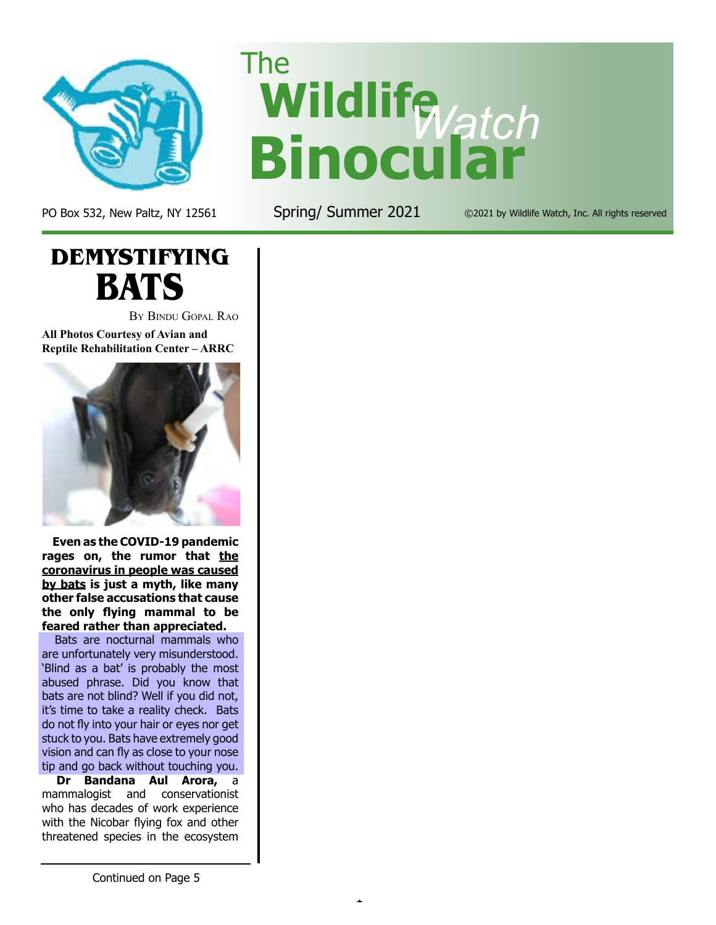

PO Box 532, New Paltz, NY 12561 Spring/ Summer 2021 ©2021 by Wildlife Watch, Inc. All rights reserved

**Wildlife** *Watch* **Binocular**

1

The



By Bindu Gopal Rao

**All Photos Courtesy of Avian and Reptile Rehabilitation Center – ARRC**



**Even as the COVID-19 pandemic**  rages on, the rumor that the **coronavirus in people was caused by bats is just a myth, like many other false accusations that cause the only flying mammal to be feared rather than appreciated.**

 Bats are nocturnal mammals who are unfortunately very misunderstood. 'Blind as a bat' is probably the most abused phrase. Did you know that bats are not blind? Well if you did not, it's time to take a reality check. Bats do not fly into your hair or eyes nor get stuck to you. Bats have extremely good vision and can fly as close to your nose tip and go back without touching you.

**Dr Bandana Aul Arora,** a mammalogist and conservationist who has decades of work experience with the Nicobar flying fox and other threatened species in the ecosystem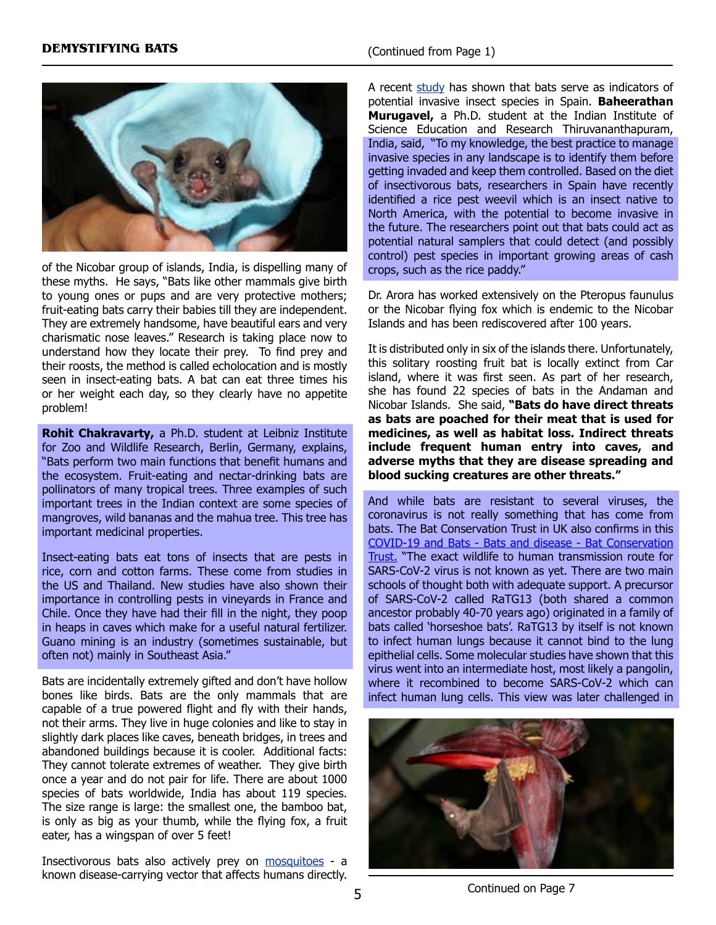

of the Nicobar group of islands, India, is dispelling many of these myths. He says, "Bats like other mammals give birth to young ones or pups and are very protective mothers; fruit-eating bats carry their babies till they are independent. They are extremely handsome, have beautiful ears and very charismatic nose leaves." Research is taking place now to understand how they locate their prey. To find prey and their roosts, the method is called echolocation and is mostly seen in insect-eating bats. A bat can eat three times his or her weight each day, so they clearly have no appetite problem!

**Rohit Chakravarty,** a Ph.D. student at Leibniz Institute for Zoo and Wildlife Research, Berlin, Germany, explains, "Bats perform two main functions that benefit humans and the ecosystem. Fruit-eating and nectar-drinking bats are pollinators of many tropical trees. Three examples of such important trees in the Indian context are some species of mangroves, wild bananas and the mahua tree. This tree has important medicinal properties.

Insect-eating bats eat tons of insects that are pests in rice, corn and cotton farms. These come from studies in the US and Thailand. New studies have also shown their importance in controlling pests in vineyards in France and Chile. Once they have had their fill in the night, they poop in heaps in caves which make for a useful natural fertilizer. Guano mining is an industry (sometimes sustainable, but often not) mainly in Southeast Asia."

Bats are incidentally extremely gifted and don't have hollow bones like birds. Bats are the only mammals that are capable of a true powered flight and fly with their hands, not their arms. They live in huge colonies and like to stay in slightly dark places like caves, beneath bridges, in trees and abandoned buildings because it is cooler. Additional facts: They cannot tolerate extremes of weather. They give birth once a year and do not pair for life. There are about 1000 species of bats worldwide, India has about 119 species. The size range is large: the smallest one, the bamboo bat, is only as big as your thumb, while the flying fox, a fruit eater, has a wingspan of over 5 feet!

Insectivorous bats also actively prey on [mosquitoes](https://onlinelibrary.wiley.com/doi/10.1002/ps.5925) - a known disease-carrying vector that affects humans directly.

A recent  $study$  has shown that bats serve as indicators of potential invasive insect species in Spain. **Baheerathan Murugavel,** a Ph.D. student at the Indian Institute of Science Education and Research Thiruvananthapuram, India, said, "To my knowledge, the best practice to manage invasive species in any landscape is to identify them before getting invaded and keep them controlled. Based on the diet of insectivorous bats, researchers in Spain have recently identified a rice pest weevil which is an insect native to North America, with the potential to become invasive in the future. The researchers point out that bats could act as potential natural samplers that could detect (and possibly control) pest species in important growing areas of cash crops, such as the rice paddy."

Dr. Arora has worked extensively on the Pteropus faunulus or the Nicobar flying fox which is endemic to the Nicobar Islands and has been rediscovered after 100 years.

It is distributed only in six of the islands there. Unfortunately, this solitary roosting fruit bat is locally extinct from Car island, where it was first seen. As part of her research, she has found 22 species of bats in the Andaman and Nicobar Islands. She said, **"Bats do have direct threats as bats are poached for their meat that is used for medicines, as well as habitat loss. Indirect threats include frequent human entry into caves, and adverse myths that they are disease spreading and blood sucking creatures are other threats."** 

And while bats are resistant to several viruses, the coronavirus is not really something that has come from bats. The Bat Conservation Trust in UK also confirms in this [COVID-19 and Bats - Bats and disease - Bat Conservation](https://www.bats.org.uk/about-bats/bats-and-disease/covid-19-and-bats) [Trust.](https://www.bats.org.uk/about-bats/bats-and-disease/covid-19-and-bats) "The exact wildlife to human transmission route for SARS-CoV-2 virus is not known as yet. There are two main schools of thought both with adequate support. A precursor of SARS-CoV-2 called RaTG13 (both shared a common ancestor probably 40-70 years ago) originated in a family of bats called 'horseshoe bats'. RaTG13 by itself is not known to infect human lungs because it cannot bind to the lung epithelial cells. Some molecular studies have shown that this virus went into an intermediate host, most likely a pangolin, where it recombined to become SARS-CoV-2 which can infect human lung cells. This view was later challenged in



Continued on Page 7